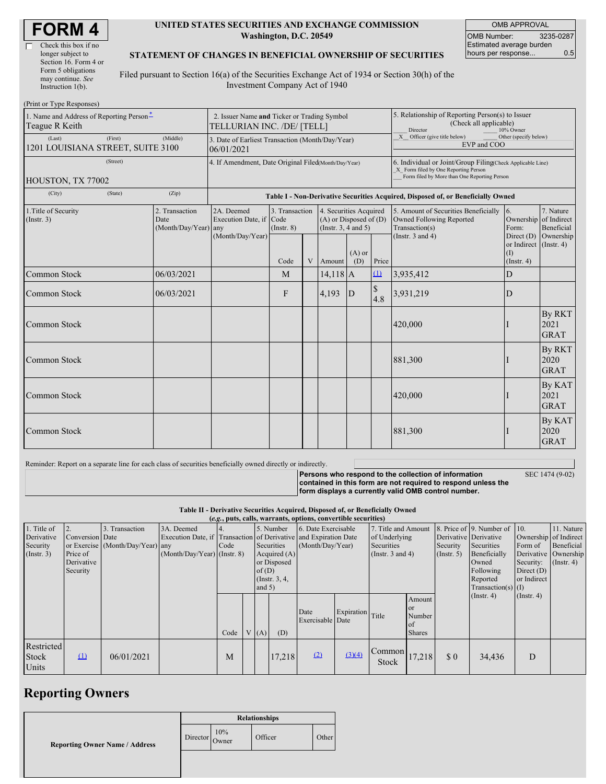| <b>FORM 4</b> |  |
|---------------|--|
|---------------|--|

#### **UNITED STATES SECURITIES AND EXCHANGE COMMISSION Washington, D.C. 20549**

OMB APPROVAL OMB Number: 3235-0287 Estimated average burden hours per response... 0.5

### **STATEMENT OF CHANGES IN BENEFICIAL OWNERSHIP OF SECURITIES**

Filed pursuant to Section 16(a) of the Securities Exchange Act of 1934 or Section 30(h) of the Investment Company Act of 1940

| (Print or Type Responses)                                                             |                                                                           |                                                                                  |                                   |  |                                                                              |                                                                                                     |                                                                                                                                                    |                                                                                                             |                                                     |                                      |  |
|---------------------------------------------------------------------------------------|---------------------------------------------------------------------------|----------------------------------------------------------------------------------|-----------------------------------|--|------------------------------------------------------------------------------|-----------------------------------------------------------------------------------------------------|----------------------------------------------------------------------------------------------------------------------------------------------------|-------------------------------------------------------------------------------------------------------------|-----------------------------------------------------|--------------------------------------|--|
| 1. Name and Address of Reporting Person-<br>Teague R Keith                            | 2. Issuer Name and Ticker or Trading Symbol<br>TELLURIAN INC. /DE/ [TELL] |                                                                                  |                                   |  |                                                                              | 5. Relationship of Reporting Person(s) to Issuer<br>(Check all applicable)<br>Director<br>10% Owner |                                                                                                                                                    |                                                                                                             |                                                     |                                      |  |
| (Last)<br>(First)<br>1201 LOUISIANA STREET, SUITE 3100                                | 3. Date of Earliest Transaction (Month/Day/Year)<br>06/01/2021            |                                                                                  |                                   |  |                                                                              |                                                                                                     | X Officer (give title below)<br>Other (specify below)<br>EVP and COO                                                                               |                                                                                                             |                                                     |                                      |  |
| (Street)<br>HOUSTON, TX 77002                                                         |                                                                           | 4. If Amendment, Date Original Filed(Month/Day/Year)                             |                                   |  |                                                                              |                                                                                                     | 6. Individual or Joint/Group Filing(Check Applicable Line)<br>X Form filed by One Reporting Person<br>Form filed by More than One Reporting Person |                                                                                                             |                                                     |                                      |  |
| (City)<br>(State)                                                                     | (Zip)                                                                     | Table I - Non-Derivative Securities Acquired, Disposed of, or Beneficially Owned |                                   |  |                                                                              |                                                                                                     |                                                                                                                                                    |                                                                                                             |                                                     |                                      |  |
| 1. Title of Security<br>2. Transaction<br>(Insert. 3)<br>Date<br>(Month/Day/Year) any |                                                                           | 2A. Deemed<br>Execution Date, if Code<br>(Month/Day/Year)                        | 3. Transaction<br>$($ Instr. $8)$ |  | 4. Securities Acquired<br>$(A)$ or Disposed of $(D)$<br>(Insert. 3, 4 and 5) |                                                                                                     |                                                                                                                                                    | 5. Amount of Securities Beneficially<br>Owned Following Reported<br>Transaction(s)<br>(Instr. $3$ and $4$ ) | 16.<br>Ownership of Indirect<br>Form:<br>Direct (D) | 7. Nature<br>Beneficial              |  |
|                                                                                       |                                                                           |                                                                                  | Code                              |  | V Amount                                                                     | $(A)$ or<br>(D)                                                                                     | Price                                                                                                                                              |                                                                                                             | or Indirect (Instr. 4)<br>(I)<br>$($ Instr. 4 $)$   | Ownership                            |  |
| Common Stock                                                                          | 06/03/2021                                                                |                                                                                  | M                                 |  | $14,118$ A                                                                   |                                                                                                     | $\Omega$                                                                                                                                           | 3,935,412                                                                                                   | $\mathbf D$                                         |                                      |  |
| <b>Common Stock</b>                                                                   | 06/03/2021                                                                |                                                                                  | F                                 |  | 4,193                                                                        | D                                                                                                   | $\mathbb S$<br>4.8                                                                                                                                 | 3,931,219                                                                                                   | D                                                   |                                      |  |
| Common Stock                                                                          |                                                                           |                                                                                  |                                   |  |                                                                              |                                                                                                     |                                                                                                                                                    | 420,000                                                                                                     |                                                     | <b>By RKT</b><br>2021<br><b>GRAT</b> |  |
| <b>Common Stock</b>                                                                   |                                                                           |                                                                                  |                                   |  |                                                                              |                                                                                                     |                                                                                                                                                    | 881,300                                                                                                     |                                                     | <b>By RKT</b><br>2020<br><b>GRAT</b> |  |
| Common Stock                                                                          |                                                                           |                                                                                  |                                   |  |                                                                              |                                                                                                     |                                                                                                                                                    | 420,000                                                                                                     |                                                     | By KAT<br>2021<br><b>GRAT</b>        |  |
| <b>Common Stock</b>                                                                   |                                                                           |                                                                                  |                                   |  |                                                                              |                                                                                                     |                                                                                                                                                    | 881,300                                                                                                     |                                                     | By KAT<br>2020<br><b>GRAT</b>        |  |

Reminder: Report on a separate line for each class of securities beneficially owned directly or indirectly.

SEC 1474 (9-02)

**Persons who respond to the collection of information contained in this form are not required to respond unless the form displays a currently valid OMB control number.**

#### **Table II - Derivative Securities Acquired, Disposed of, or Beneficially Owned**

**(***e.g.***, puts, calls, warrants, options, convertible securities)**

|                  | (e.g., puts, cans, warrants, options, convertible securities) |                                  |                                                                  |      |  |          |                 |                     |                  |                                         |               |                             |                              |                       |               |
|------------------|---------------------------------------------------------------|----------------------------------|------------------------------------------------------------------|------|--|----------|-----------------|---------------------|------------------|-----------------------------------------|---------------|-----------------------------|------------------------------|-----------------------|---------------|
| 1. Title of      |                                                               | 3. Transaction                   | 3A. Deemed                                                       |      |  |          | 5. Number       | 6. Date Exercisable |                  | 7. Title and Amount                     |               |                             | 8. Price of 9. Number of 10. |                       | 11. Nature    |
| Derivative       | Conversion Date                                               |                                  | Execution Date, if Transaction of Derivative and Expiration Date |      |  |          |                 |                     |                  | of Underlying                           |               | Derivative Derivative       |                              | Ownership of Indirect |               |
| Security         |                                                               | or Exercise (Month/Day/Year) any |                                                                  | Code |  |          | Securities      | (Month/Day/Year)    |                  | Securities                              |               | Security                    | Securities                   | Form of               | Beneficial    |
| $($ Instr. 3 $)$ | Price of                                                      |                                  | $(Month/Day/Year)$ (Instr. 8)                                    |      |  |          | Acquired $(A)$  |                     |                  | (Instr. $3$ and $4$ )                   |               | $($ Instr. 5)               | Beneficially                 | Derivative Ownership  |               |
|                  | Derivative                                                    |                                  |                                                                  |      |  |          | or Disposed     |                     |                  |                                         |               |                             | Owned                        | Security:             | $($ Instr. 4) |
|                  | Security                                                      |                                  |                                                                  |      |  | of $(D)$ |                 |                     |                  |                                         |               |                             | Following                    | Direct $(D)$          |               |
|                  |                                                               |                                  |                                                                  |      |  |          | (Instr. $3, 4,$ |                     |                  |                                         |               |                             | Reported                     | or Indirect           |               |
|                  |                                                               |                                  |                                                                  |      |  | and $5)$ |                 |                     |                  |                                         |               |                             | Transaction(s) $(I)$         |                       |               |
|                  |                                                               |                                  |                                                                  |      |  |          |                 |                     |                  |                                         |               |                             | $($ Instr. 4)                | $($ Instr. 4 $)$      |               |
|                  |                                                               |                                  |                                                                  |      |  |          |                 |                     |                  |                                         | Amount        |                             |                              |                       |               |
|                  |                                                               |                                  |                                                                  |      |  |          |                 | Date                |                  |                                         | or            |                             |                              |                       |               |
|                  |                                                               |                                  |                                                                  |      |  |          |                 | Exercisable Date    | Expiration Title |                                         | Number        |                             |                              |                       |               |
|                  |                                                               |                                  |                                                                  |      |  |          |                 |                     |                  |                                         | of            |                             |                              |                       |               |
|                  |                                                               |                                  |                                                                  | Code |  | V(A)     | (D)             |                     |                  |                                         | <b>Shares</b> |                             |                              |                       |               |
| Restricted       |                                                               |                                  |                                                                  |      |  |          |                 |                     |                  |                                         |               |                             |                              |                       |               |
|                  | $\Omega$                                                      |                                  |                                                                  |      |  |          |                 | (2)                 | (3)(4)           | $\bigcap$ Common $\bigg  17,218 \bigg $ |               |                             |                              |                       |               |
| Stock            |                                                               | 06/01/2021                       |                                                                  | M    |  |          | 17,218          |                     |                  | <b>Stock</b>                            |               | $\boldsymbol{\mathsf{S}}$ 0 | 34,436                       | D                     |               |
| Units            |                                                               |                                  |                                                                  |      |  |          |                 |                     |                  |                                         |               |                             |                              |                       |               |

# **Reporting Owners**

|                                       | <b>Relationships</b> |              |         |       |  |  |
|---------------------------------------|----------------------|--------------|---------|-------|--|--|
| <b>Reporting Owner Name / Address</b> | Director             | 10%<br>Owner | Officer | Other |  |  |
|                                       |                      |              |         |       |  |  |